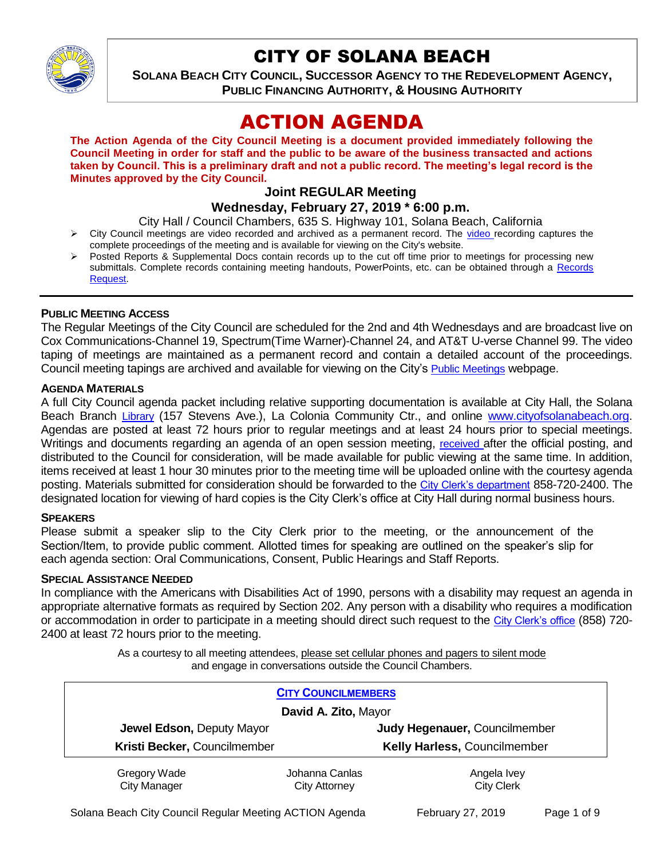

# CITY OF SOLANA BEACH

**SOLANA BEACH CITY COUNCIL, SUCCESSOR AGENCY TO THE REDEVELOPMENT AGENCY, PUBLIC FINANCING AUTHORITY, & HOUSING AUTHORITY** 

# ACTION AGENDA

**The Action Agenda of the City Council Meeting is a document provided immediately following the Council Meeting in order for staff and the public to be aware of the business transacted and actions taken by Council. This is a preliminary draft and not a public record. The meeting's legal record is the Minutes approved by the City Council.**

# **Joint REGULAR Meeting**

# **Wednesday, February 27, 2019 \* 6:00 p.m.**

City Hall / Council Chambers, 635 S. Highway 101, Solana Beach, California

- $\triangleright$  City Council meetings are [video r](https://solanabeach.12milesout.com/#page=1)ecorded and archived as a permanent record. The video recording captures the complete proceedings of the meeting and is available for viewing on the City's website.
- Posted Reports & Supplemental Docs contain records up to the cut off time prior to meetings for processing new submittals. Complete records containing meeting handouts, PowerPoints, etc. can be obtained through a Records [Request.](http://www.ci.solana-beach.ca.us/index.asp?SEC=F5D45D10-70CE-4291-A27C-7BD633FC6742&Type=B_BASIC)

### **PUBLIC MEETING ACCESS**

The Regular Meetings of the City Council are scheduled for the 2nd and 4th Wednesdays and are broadcast live on Cox Communications-Channel 19, Spectrum(Time Warner)-Channel 24, and AT&T U-verse Channel 99. The video taping of meetings are maintained as a permanent record and contain a detailed account of the proceedings. Council meeting tapings are archived and available for viewing on the City's [Public Meetings](https://www.ci.solana-beach.ca.us/index.asp?SEC=F0F1200D-21C6-4A88-8AE1-0BC07C1A81A7&Type=B_BASIC) webpage.

#### **AGENDA MATERIALS**

A full City Council agenda packet including relative supporting documentation is available at City Hall, the Solana Beach Branch [Library](http://www.sdcl.org/locations_SB.html) (157 Stevens Ave.), La Colonia Community Ctr., and online [www.cityofsolanabeach.org.](http://www.cityofsolanabeach.org/) Agendas are posted at least 72 hours prior to regular meetings and at least 24 hours prior to special meetings. Writings and documents regarding an agenda of an open session meeting, [received](mailto:EMAILGRP-CityClerksOfc@cosb.org) after the official posting, and distributed to the Council for consideration, will be made available for public viewing at the same time. In addition, items received at least 1 hour 30 minutes prior to the meeting time will be uploaded online with the courtesy agenda posting. Materials submitted for consideration should be forwarded to the [City Clerk's department](mailto:EMAILGRP-CityClerksOfc@cosb.org) 858-720-2400. The designated location for viewing of hard copies is the City Clerk's office at City Hall during normal business hours.

#### **SPEAKERS**

Please submit a speaker slip to the City Clerk prior to the meeting, or the announcement of the Section/Item, to provide public comment. Allotted times for speaking are outlined on the speaker's slip for each agenda section: Oral Communications, Consent, Public Hearings and Staff Reports.

#### **SPECIAL ASSISTANCE NEEDED**

In compliance with the Americans with Disabilities Act of 1990, persons with a disability may request an agenda in appropriate alternative formats as required by Section 202. Any person with a disability who requires a modification or accommodation in order to participate in a meeting should direct such request to the [City Clerk's office](mailto:clerkadmin@cosb.org?subject=City%20Clerk%20Notice%20of%20Special%20Services%20Needed) (858) 720- 2400 at least 72 hours prior to the meeting.

> As a courtesy to all meeting attendees, please set cellular phones and pagers to silent mode and engage in conversations outside the Council Chambers.

| <b>CITY COUNCILMEMBERS</b>          |                                        |                                  |
|-------------------------------------|----------------------------------------|----------------------------------|
| David A. Zito, Mayor                |                                        |                                  |
| Jewel Edson, Deputy Mayor           |                                        | Judy Hegenauer, Councilmember    |
| Kristi Becker, Councilmember        |                                        | Kelly Harless, Councilmember     |
| Gregory Wade<br><b>City Manager</b> | Johanna Canlas<br><b>City Attorney</b> | Angela Ivey<br><b>City Clerk</b> |

Solana Beach City Council Regular Meeting ACTION Agenda February 27, 2019 Page 1 of 9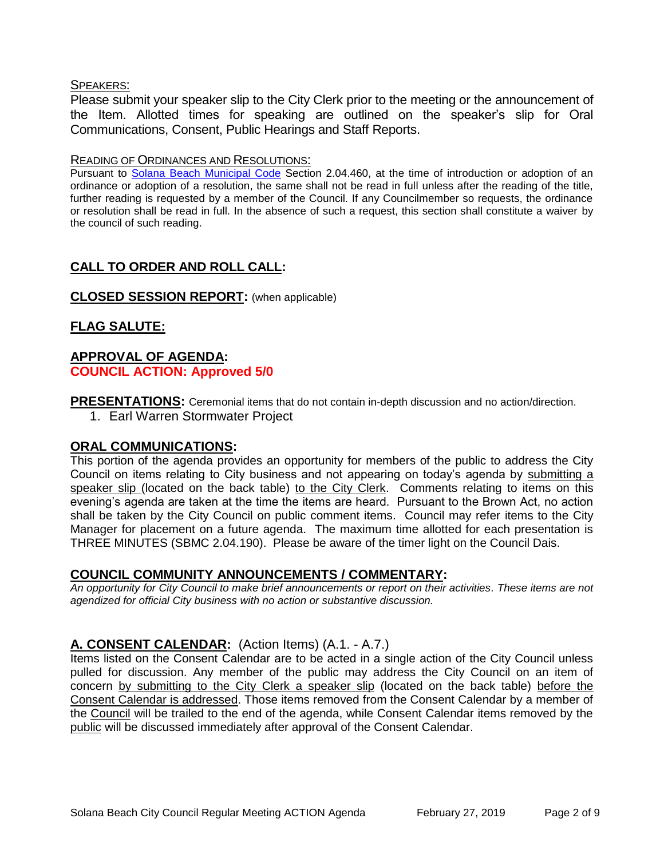#### SPEAKERS:

Please submit your speaker slip to the City Clerk prior to the meeting or the announcement of the Item. Allotted times for speaking are outlined on the speaker's slip for Oral Communications, Consent, Public Hearings and Staff Reports.

#### READING OF ORDINANCES AND RESOLUTIONS:

Pursuant to [Solana Beach Municipal Code](mailto:https://www.codepublishing.com/CA/SolanaBeach/) Section 2.04.460, at the time of introduction or adoption of an ordinance or adoption of a resolution, the same shall not be read in full unless after the reading of the title, further reading is requested by a member of the Council. If any Councilmember so requests, the ordinance or resolution shall be read in full. In the absence of such a request, this section shall constitute a waiver by the council of such reading.

# **CALL TO ORDER AND ROLL CALL:**

### **CLOSED SESSION REPORT:** (when applicable)

# **FLAG SALUTE:**

# **APPROVAL OF AGENDA: COUNCIL ACTION: Approved 5/0**

**PRESENTATIONS:** Ceremonial items that do not contain in-depth discussion and no action/direction.

1. Earl Warren Stormwater Project

#### **ORAL COMMUNICATIONS:**

This portion of the agenda provides an opportunity for members of the public to address the City Council on items relating to City business and not appearing on today's agenda by submitting a speaker slip (located on the back table) to the City Clerk. Comments relating to items on this evening's agenda are taken at the time the items are heard. Pursuant to the Brown Act, no action shall be taken by the City Council on public comment items. Council may refer items to the City Manager for placement on a future agenda. The maximum time allotted for each presentation is THREE MINUTES (SBMC 2.04.190). Please be aware of the timer light on the Council Dais.

# **COUNCIL COMMUNITY ANNOUNCEMENTS / COMMENTARY:**

*An opportunity for City Council to make brief announcements or report on their activities. These items are not agendized for official City business with no action or substantive discussion.* 

# **A. CONSENT CALENDAR:** (Action Items) (A.1. - A.7.)

Items listed on the Consent Calendar are to be acted in a single action of the City Council unless pulled for discussion. Any member of the public may address the City Council on an item of concern by submitting to the City Clerk a speaker slip (located on the back table) before the Consent Calendar is addressed. Those items removed from the Consent Calendar by a member of the Council will be trailed to the end of the agenda, while Consent Calendar items removed by the public will be discussed immediately after approval of the Consent Calendar.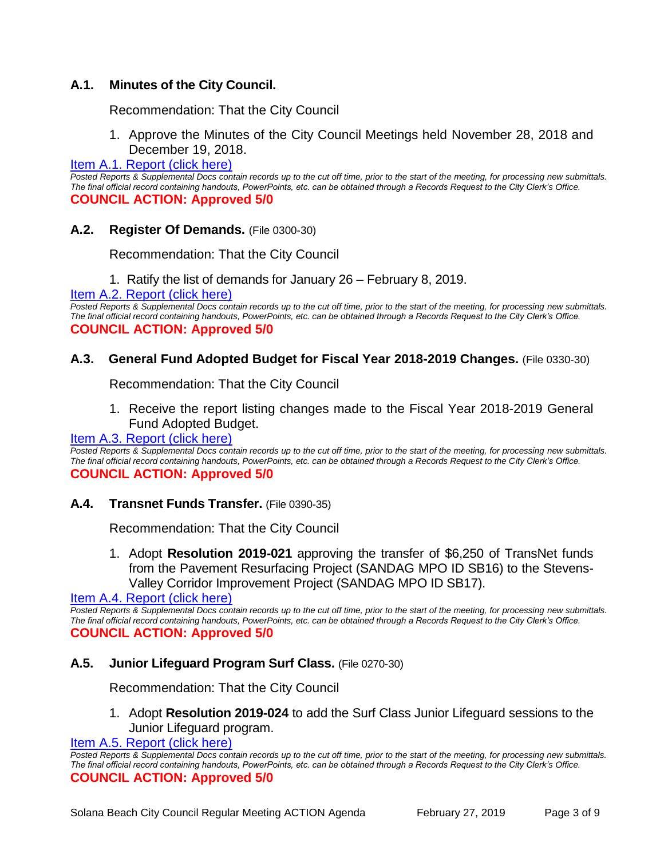# **A.1. Minutes of the City Council.**

Recommendation: That the City Council

1. Approve the Minutes of the City Council Meetings held November 28, 2018 and December 19, 2018.

#### [Item A.1. Report \(click here\)](https://solanabeach.govoffice3.com/vertical/Sites/%7B840804C2-F869-4904-9AE3-720581350CE7%7D/uploads/Item_A.1._Report_(click_here)_02-27-19_-_O.pdf)

*Posted Reports & Supplemental Docs contain records up to the cut off time, prior to the start of the meeting, for processing new submittals. The final official record containing handouts, PowerPoints, etc. can be obtained through a Records Request to the City Clerk's Office.* **COUNCIL ACTION: Approved 5/0**

#### **A.2. Register Of Demands.** (File 0300-30)

Recommendation: That the City Council

1. Ratify the list of demands for January 26 – February 8, 2019.

[Item A.2. Report \(click here\)](https://solanabeach.govoffice3.com/vertical/Sites/%7B840804C2-F869-4904-9AE3-720581350CE7%7D/uploads/Item_A.2._Report_(click_here)_02-27-19_-_O.pdf) 

*Posted Reports & Supplemental Docs contain records up to the cut off time, prior to the start of the meeting, for processing new submittals. The final official record containing handouts, PowerPoints, etc. can be obtained through a Records Request to the City Clerk's Office.* **COUNCIL ACTION: Approved 5/0**

#### **A.3. General Fund Adopted Budget for Fiscal Year 2018-2019 Changes.** (File 0330-30)

Recommendation: That the City Council

1. Receive the report listing changes made to the Fiscal Year 2018-2019 General Fund Adopted Budget.

#### [Item A.3. Report \(click here\)](https://solanabeach.govoffice3.com/vertical/Sites/%7B840804C2-F869-4904-9AE3-720581350CE7%7D/uploads/Item_A.3._Report_(click_here)_02-27-19_-_O.pdf)

*Posted Reports & Supplemental Docs contain records up to the cut off time, prior to the start of the meeting, for processing new submittals. The final official record containing handouts, PowerPoints, etc. can be obtained through a Records Request to the City Clerk's Office.* **COUNCIL ACTION: Approved 5/0**

**A.4. Transnet Funds Transfer.** (File 0390-35)

Recommendation: That the City Council

1. Adopt **Resolution 2019-021** approving the transfer of \$6,250 of TransNet funds from the Pavement Resurfacing Project (SANDAG MPO ID SB16) to the Stevens-Valley Corridor Improvement Project (SANDAG MPO ID SB17).

[Item A.4. Report \(click here\)](https://solanabeach.govoffice3.com/vertical/Sites/%7B840804C2-F869-4904-9AE3-720581350CE7%7D/uploads/Item_A.4._Report_(click_here)_02-27-19_-_O.pdf) 

*Posted Reports & Supplemental Docs contain records up to the cut off time, prior to the start of the meeting, for processing new submittals. The final official record containing handouts, PowerPoints, etc. can be obtained through a Records Request to the City Clerk's Office.* **COUNCIL ACTION: Approved 5/0**

#### **A.5. Junior Lifeguard Program Surf Class.** (File 0270-30)

Recommendation: That the City Council

1. Adopt **Resolution 2019-024** to add the Surf Class Junior Lifeguard sessions to the Junior Lifeguard program.

Item A.5. Report (click here)

*Posted Reports & Supplemental Docs contain records up to the cut off time, prior to the start of the meeting, for processing new submittals. The final official record containing handouts, PowerPoints, etc. can be obtained through a Records Request to the City Clerk's Office.* **COUNCIL ACTION: Approved 5/0**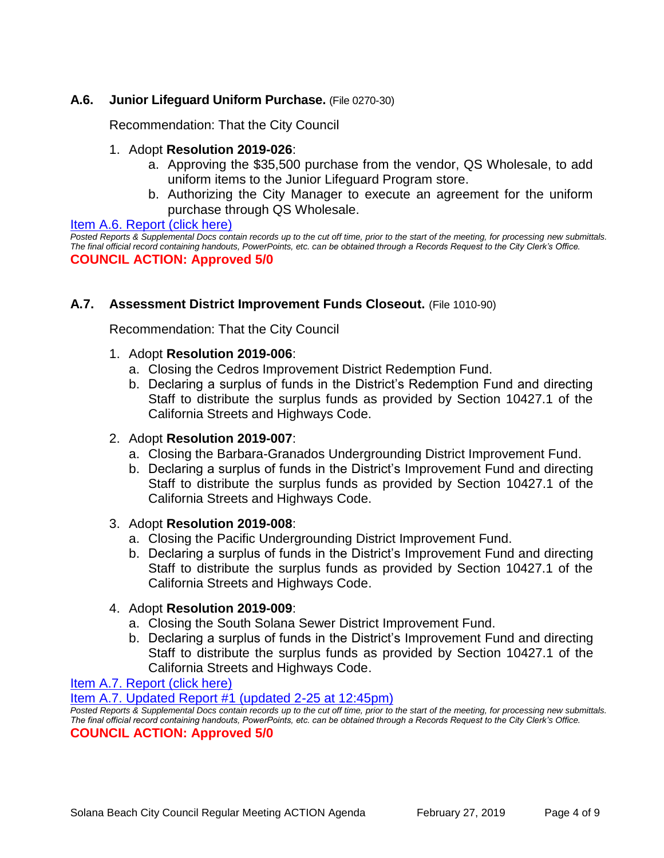# **A.6. Junior Lifeguard Uniform Purchase.** (File 0270-30)

Recommendation: That the City Council

### 1. Adopt **Resolution 2019-026**:

- a. Approving the \$35,500 purchase from the vendor, QS Wholesale, to add uniform items to the Junior Lifeguard Program store.
- b. Authorizing the City Manager to execute an agreement for the uniform purchase through QS Wholesale.

#### [Item A.6. Report \(click here\)](https://solanabeach.govoffice3.com/vertical/Sites/%7B840804C2-F869-4904-9AE3-720581350CE7%7D/uploads/Item_A.6._Report_(click_here)_02-27-19_-_O.pdf)

*Posted Reports & Supplemental Docs contain records up to the cut off time, prior to the start of the meeting, for processing new submittals. The final official record containing handouts, PowerPoints, etc. can be obtained through a Records Request to the City Clerk's Office.* **COUNCIL ACTION: Approved 5/0**

### **A.7. Assessment District Improvement Funds Closeout.** (File 1010-90)

Recommendation: That the City Council

#### 1. Adopt **Resolution 2019-006**:

- a. Closing the Cedros Improvement District Redemption Fund.
- b. Declaring a surplus of funds in the District's Redemption Fund and directing Staff to distribute the surplus funds as provided by Section 10427.1 of the California Streets and Highways Code.

#### 2. Adopt **Resolution 2019-007**:

- a. Closing the Barbara-Granados Undergrounding District Improvement Fund.
- b. Declaring a surplus of funds in the District's Improvement Fund and directing Staff to distribute the surplus funds as provided by Section 10427.1 of the California Streets and Highways Code.

#### 3. Adopt **Resolution 2019-008**:

- a. Closing the Pacific Undergrounding District Improvement Fund.
- b. Declaring a surplus of funds in the District's Improvement Fund and directing Staff to distribute the surplus funds as provided by Section 10427.1 of the California Streets and Highways Code.

### 4. Adopt **Resolution 2019-009**:

- a. Closing the South Solana Sewer District Improvement Fund.
- b. Declaring a surplus of funds in the District's Improvement Fund and directing Staff to distribute the surplus funds as provided by Section 10427.1 of the California Streets and Highways Code.

[Item A.7. Report \(click here\)](https://solanabeach.govoffice3.com/vertical/Sites/%7B840804C2-F869-4904-9AE3-720581350CE7%7D/uploads/Item_A.7._Report_(click_here)_02-27-19_-_O.pdf) 

[Item A.7. Updated Report #1 \(updated 2-25 at 12:45pm\)](https://solanabeach.govoffice3.com/vertical/Sites/%7B840804C2-F869-4904-9AE3-720581350CE7%7D/uploads/A.7._Updated_Report_1_-_2-27-19.pdf)

*Posted Reports & Supplemental Docs contain records up to the cut off time, prior to the start of the meeting, for processing new submittals. The final official record containing handouts, PowerPoints, etc. can be obtained through a Records Request to the City Clerk's Office.* **COUNCIL ACTION: Approved 5/0**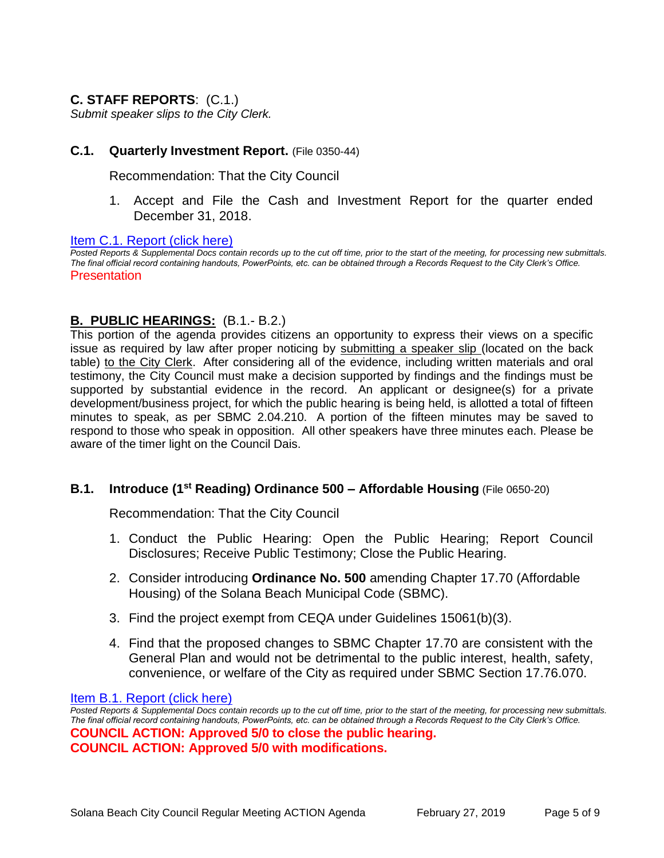# **C. STAFF REPORTS**: (C.1.)

*Submit speaker slips to the City Clerk.*

#### **C.1. Quarterly Investment Report.** (File 0350-44)

Recommendation: That the City Council

1. Accept and File the Cash and Investment Report for the quarter ended December 31, 2018.

[Item C.1. Report \(click here\)](https://solanabeach.govoffice3.com/vertical/Sites/%7B840804C2-F869-4904-9AE3-720581350CE7%7D/uploads/Item_C.1._Report_(click_here)_02-27-19_-_O.pdf) 

*Posted Reports & Supplemental Docs contain records up to the cut off time, prior to the start of the meeting, for processing new submittals. The final official record containing handouts, PowerPoints, etc. can be obtained through a Records Request to the City Clerk's Office.* **Presentation** 

### **B. PUBLIC HEARINGS:** (B.1.- B.2.)

This portion of the agenda provides citizens an opportunity to express their views on a specific issue as required by law after proper noticing by submitting a speaker slip (located on the back table) to the City Clerk. After considering all of the evidence, including written materials and oral testimony, the City Council must make a decision supported by findings and the findings must be supported by substantial evidence in the record. An applicant or designee(s) for a private development/business project, for which the public hearing is being held, is allotted a total of fifteen minutes to speak, as per SBMC 2.04.210. A portion of the fifteen minutes may be saved to respond to those who speak in opposition. All other speakers have three minutes each. Please be aware of the timer light on the Council Dais.

#### **B.1. Introduce (1<sup>st</sup> Reading) Ordinance 500 – Affordable Housing (File 0650-20)**

Recommendation: That the City Council

- 1. Conduct the Public Hearing: Open the Public Hearing; Report Council Disclosures; Receive Public Testimony; Close the Public Hearing.
- 2. Consider introducing **Ordinance No. 500** amending Chapter 17.70 (Affordable Housing) of the Solana Beach Municipal Code (SBMC).
- 3. Find the project exempt from CEQA under Guidelines 15061(b)(3).
- 4. Find that the proposed changes to SBMC Chapter 17.70 are consistent with the General Plan and would not be detrimental to the public interest, health, safety, convenience, or welfare of the City as required under SBMC Section 17.76.070.

Item B.1. Report (click here)

*Posted Reports & Supplemental Docs contain records up to the cut off time, prior to the start of the meeting, for processing new submittals. The final official record containing handouts, PowerPoints, etc. can be obtained through a Records Request to the City Clerk's Office.* **COUNCIL ACTION: Approved 5/0 to close the public hearing. COUNCIL ACTION: Approved 5/0 with modifications.**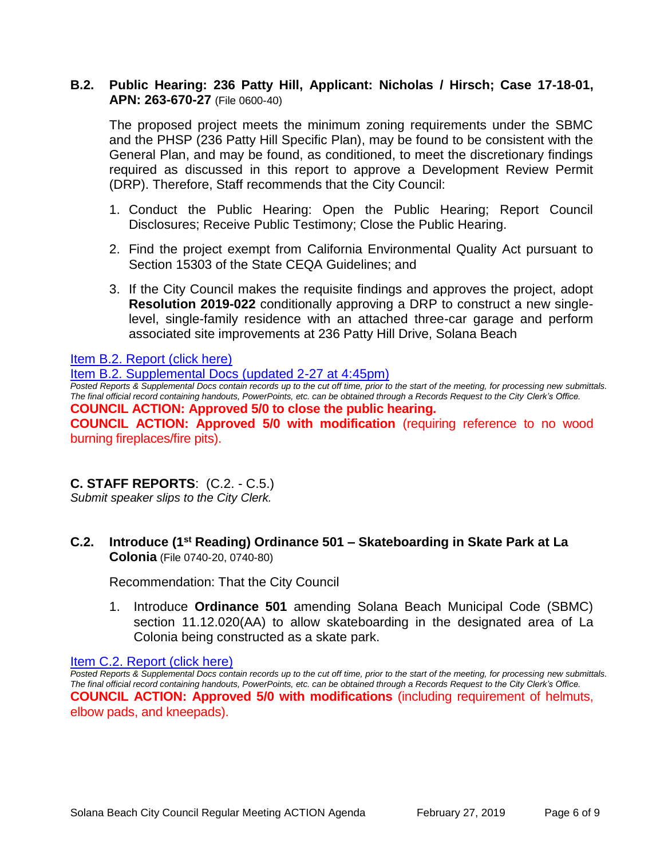# **B.2. Public Hearing: 236 Patty Hill, Applicant: Nicholas / Hirsch; Case 17-18-01, APN: 263-670-27** (File 0600-40)

The proposed project meets the minimum zoning requirements under the SBMC and the PHSP (236 Patty Hill Specific Plan), may be found to be consistent with the General Plan, and may be found, as conditioned, to meet the discretionary findings required as discussed in this report to approve a Development Review Permit (DRP). Therefore, Staff recommends that the City Council:

- 1. Conduct the Public Hearing: Open the Public Hearing; Report Council Disclosures; Receive Public Testimony; Close the Public Hearing.
- 2. Find the project exempt from California Environmental Quality Act pursuant to Section 15303 of the State CEQA Guidelines; and
- 3. If the City Council makes the requisite findings and approves the project, adopt **Resolution 2019-022** conditionally approving a DRP to construct a new singlelevel, single-family residence with an attached three-car garage and perform associated site improvements at 236 Patty Hill Drive, Solana Beach

Item [B.2. Report \(click here\)](https://solanabeach.govoffice3.com/vertical/Sites/%7B840804C2-F869-4904-9AE3-720581350CE7%7D/uploads/Item_B.2._Report_(click_here)_02-27-19_-_O.pdf) 

#### [Item B.2. Supplemental Docs \(updated 2-27 at 4:45pm\)](https://solanabeach.govoffice3.com/vertical/Sites/%7B840804C2-F869-4904-9AE3-720581350CE7%7D/uploads/Item_B.2._Supplemental_Docs_(Updated_2-27_430pm).pdf)

*Posted Reports & Supplemental Docs contain records up to the cut off time, prior to the start of the meeting, for processing new submittals. The final official record containing handouts, PowerPoints, etc. can be obtained through a Records Request to the City Clerk's Office.*

**COUNCIL ACTION: Approved 5/0 to close the public hearing.**

**COUNCIL ACTION: Approved 5/0 with modification** (requiring reference to no wood burning fireplaces/fire pits).

# **C. STAFF REPORTS**: (C.2. - C.5.)

*Submit speaker slips to the City Clerk.*

**C.2. Introduce (1 st Reading) Ordinance 501 – Skateboarding in Skate Park at La Colonia** (File 0740-20, 0740-80)

Recommendation: That the City Council

1. Introduce **Ordinance 501** amending Solana Beach Municipal Code (SBMC) section 11.12.020(AA) to allow skateboarding in the designated area of La Colonia being constructed as a skate park.

#### [Item C.2. Report \(click here\)](https://solanabeach.govoffice3.com/vertical/Sites/%7B840804C2-F869-4904-9AE3-720581350CE7%7D/uploads/Item_C.2._Report_(click_here)_02-27-19_-_O.pdf)

*Posted Reports & Supplemental Docs contain records up to the cut off time, prior to the start of the meeting, for processing new submittals. The final official record containing handouts, PowerPoints, etc. can be obtained through a Records Request to the City Clerk's Office.* **COUNCIL ACTION: Approved 5/0 with modifications** (including requirement of helmuts, elbow pads, and kneepads).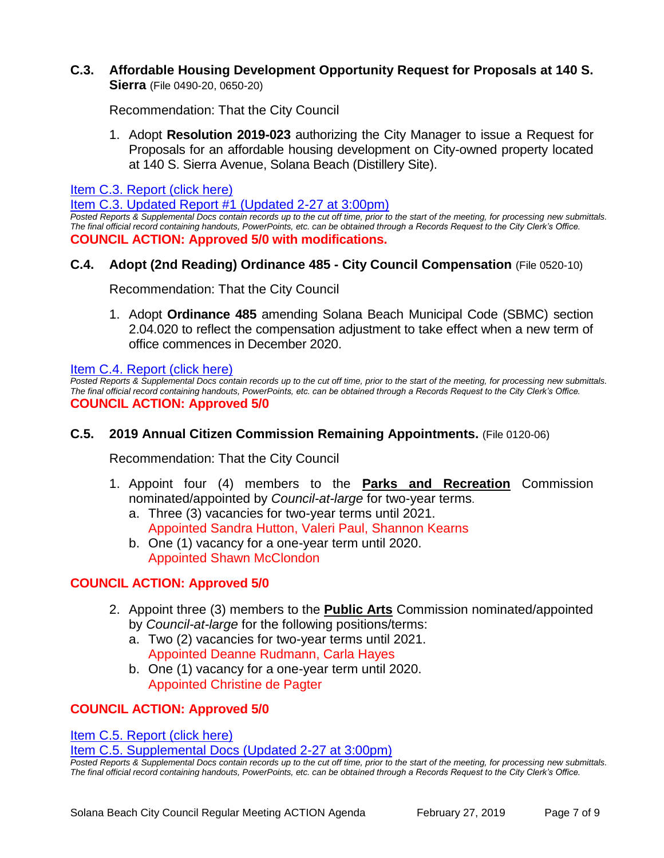# **C.3. Affordable Housing Development Opportunity Request for Proposals at 140 S.**

**Sierra** (File 0490-20, 0650-20)

Recommendation: That the City Council

1. Adopt **Resolution 2019-023** authorizing the City Manager to issue a Request for Proposals for an affordable housing development on City-owned property located at 140 S. Sierra Avenue, Solana Beach (Distillery Site).

[Item C.3. Report \(click here\)](https://solanabeach.govoffice3.com/vertical/Sites/%7B840804C2-F869-4904-9AE3-720581350CE7%7D/uploads/Item_C.3._Report_(click_here)_02-27-19_-_O.pdf) 

[Item C.3. Updated Report #1 \(Updated 2-27 at 3:00pm\)](https://solanabeach.govoffice3.com/vertical/Sites/%7B840804C2-F869-4904-9AE3-720581350CE7%7D/uploads/Item_C.3._Updated_Report_1_-_2-27_(3pm).pdf)

*Posted Reports & Supplemental Docs contain records up to the cut off time, prior to the start of the meeting, for processing new submittals. The final official record containing handouts, PowerPoints, etc. can be obtained through a Records Request to the City Clerk's Office.* **COUNCIL ACTION: Approved 5/0 with modifications.**

# **C.4. Adopt (2nd Reading) Ordinance 485 - City Council Compensation** (File 0520-10)

Recommendation: That the City Council

1. Adopt **Ordinance 485** amending Solana Beach Municipal Code (SBMC) section 2.04.020 to reflect the compensation adjustment to take effect when a new term of office commences in December 2020.

[Item C.4. Report \(click here\)](https://solanabeach.govoffice3.com/vertical/Sites/%7B840804C2-F869-4904-9AE3-720581350CE7%7D/uploads/Item_C.4._Report_(click_here)_02-27-19_-_O.pdf) 

*Posted Reports & Supplemental Docs contain records up to the cut off time, prior to the start of the meeting, for processing new submittals. The final official record containing handouts, PowerPoints, etc. can be obtained through a Records Request to the City Clerk's Office.* **COUNCIL ACTION: Approved 5/0**

# **C.5. 2019 Annual Citizen Commission Remaining Appointments.** (File 0120-06)

Recommendation: That the City Council

- 1. Appoint four (4) members to the **Parks and Recreation** Commission nominated/appointed by *Council-at-large* for two-year terms.
	- a. Three (3) vacancies for two-year terms until 2021. Appointed Sandra Hutton, Valeri Paul, Shannon Kearns
	- b. One (1) vacancy for a one-year term until 2020. Appointed Shawn McClondon

# **COUNCIL ACTION: Approved 5/0**

- 2. Appoint three (3) members to the **Public Arts** Commission nominated/appointed by *Council-at-large* for the following positions/terms:
	- a. Two (2) vacancies for two-year terms until 2021. Appointed Deanne Rudmann, Carla Hayes
	- b. One (1) vacancy for a one-year term until 2020. Appointed Christine de Pagter

# **COUNCIL ACTION: Approved 5/0**

[Item C.5. Report \(click here\)](https://solanabeach.govoffice3.com/vertical/Sites/%7B840804C2-F869-4904-9AE3-720581350CE7%7D/uploads/Item_C.5._Report_(click_here)_02-27-19_-_O.pdf) 

[Item C.5. Supplemental Docs \(Updated 2-27 at 3:00pm\)](https://solanabeach.govoffice3.com/vertical/Sites/%7B840804C2-F869-4904-9AE3-720581350CE7%7D/uploads/Item_C.5._Supplemental_Docs_-_12-27_(300pm).pdf)

*Posted Reports & Supplemental Docs contain records up to the cut off time, prior to the start of the meeting, for processing new submittals. The final official record containing handouts, PowerPoints, etc. can be obtained through a Records Request to the City Clerk's Office.*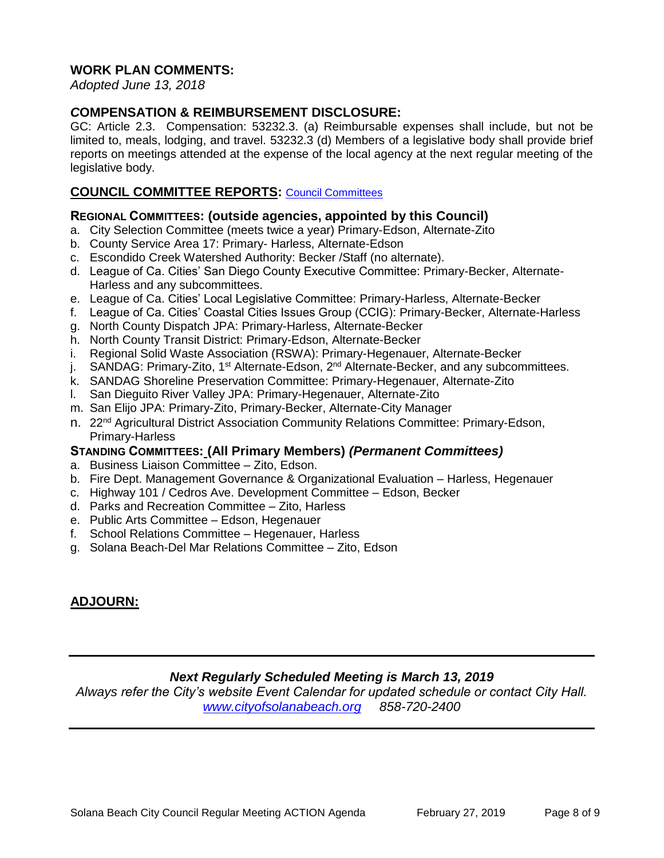# **WORK PLAN COMMENTS:**

*Adopted June 13, 2018*

# *C***OMPENSATION & REIMBURSEMENT DISCLOSURE:**

GC: Article 2.3. Compensation: 53232.3. (a) Reimbursable expenses shall include, but not be limited to, meals, lodging, and travel. 53232.3 (d) Members of a legislative body shall provide brief reports on meetings attended at the expense of the local agency at the next regular meeting of the legislative body.

# **COUNCIL COMMITTEE REPORTS:** [Council Committees](https://www.ci.solana-beach.ca.us/index.asp?SEC=584E1192-3850-46EA-B977-088AC3E81E0D&Type=B_BASIC)

### **REGIONAL COMMITTEES: (outside agencies, appointed by this Council)**

- a. City Selection Committee (meets twice a year) Primary-Edson, Alternate-Zito
- b. County Service Area 17: Primary- Harless, Alternate-Edson
- c. Escondido Creek Watershed Authority: Becker /Staff (no alternate).
- d. League of Ca. Cities' San Diego County Executive Committee: Primary-Becker, Alternate-Harless and any subcommittees.
- e. League of Ca. Cities' Local Legislative Committee: Primary-Harless, Alternate-Becker
- f. League of Ca. Cities' Coastal Cities Issues Group (CCIG): Primary-Becker, Alternate-Harless
- g. North County Dispatch JPA: Primary-Harless, Alternate-Becker
- h. North County Transit District: Primary-Edson, Alternate-Becker
- i. Regional Solid Waste Association (RSWA): Primary-Hegenauer, Alternate-Becker
- j. SANDAG: Primary-Zito, 1<sup>st</sup> Alternate-Edson, 2<sup>nd</sup> Alternate-Becker, and any subcommittees.
- k. SANDAG Shoreline Preservation Committee: Primary-Hegenauer, Alternate-Zito
- l. San Dieguito River Valley JPA: Primary-Hegenauer, Alternate-Zito
- m. San Elijo JPA: Primary-Zito, Primary-Becker, Alternate-City Manager
- n. 22<sup>nd</sup> Agricultural District Association Community Relations Committee: Primary-Edson, Primary-Harless

# **STANDING COMMITTEES: (All Primary Members)** *(Permanent Committees)*

- a. Business Liaison Committee Zito, Edson.
- b. Fire Dept. Management Governance & Organizational Evaluation Harless, Hegenauer
- c. Highway 101 / Cedros Ave. Development Committee Edson, Becker
- d. Parks and Recreation Committee Zito, Harless
- e. Public Arts Committee Edson, Hegenauer
- f. School Relations Committee Hegenauer, Harless
- g. Solana Beach-Del Mar Relations Committee Zito, Edson

# **ADJOURN:**

# *Next Regularly Scheduled Meeting is March 13, 2019*

*Always refer the City's website Event Calendar for updated schedule or contact City Hall. [www.cityofsolanabeach.org](http://www.cityofsolanabeach.org/) 858-720-2400*